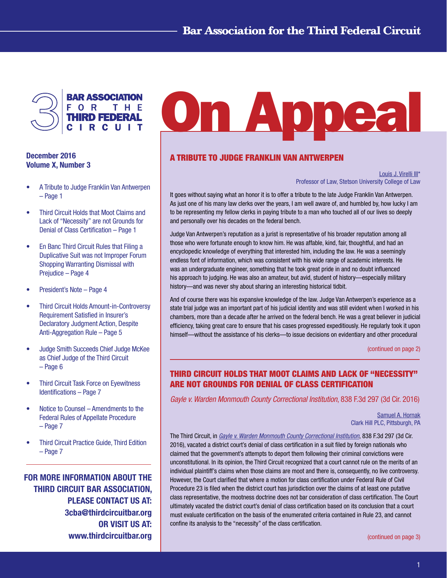

## December 2016 Volume X, Number 3

- • A Tribute to Judge Franklin Van Antwerpen – Page 1
- Third Circuit Holds that Moot Claims and Lack of "Necessity" are not Grounds for Denial of Class Certification – Page 1
- En Banc Third Circuit Rules that Filing a Duplicative Suit was not Improper Forum Shopping Warranting Dismissal with Prejudice – Page 4
- President's Note Page 4
- • Third Circuit Holds Amount-in-Controversy Requirement Satisfied in Insurer's Declaratory Judgment Action, Despite Anti-Aggregation Rule – Page 5
- • Judge Smith Succeeds Chief Judge McKee as Chief Judge of the Third Circuit – Page 6
- **Third Circuit Task Force on Evewitness** Identifications – Page 7
- Notice to Counsel Amendments to the Federal Rules of Appellate Procedure – Page 7
- Third Circuit Practice Guide, Third Edition – Page 7

FOR MORE INFORMATION ABOUT THE THIRD CIRCUIT BAR ASSOCIATION, PLEASE CONTACT US AT: 3cba@thirdcircuitbar.org OR VISIT US AT: www.thirdcircuitbar.org

# **On Appea**

# A TRIBUTE TO JUDGE FRANKLIN VAN ANTWERPEN

[Louis J. Virelli III\\*](http://www.stetson.edu/law/faculty/virelli-louis-j/) Professor of Law, Stetson University College of Law

It goes without saying what an honor it is to offer a tribute to the late Judge Franklin Van Antwerpen. As just one of his many law clerks over the years, I am well aware of, and humbled by, how lucky I am to be representing my fellow clerks in paying tribute to a man who touched all of our lives so deeply and personally over his decades on the federal bench.

Judge Van Antwerpen's reputation as a jurist is representative of his broader reputation among all those who were fortunate enough to know him. He was affable, kind, fair, thoughtful, and had an encyclopedic knowledge of everything that interested him, including the law. He was a seemingly endless font of information, which was consistent with his wide range of academic interests. He was an undergraduate engineer, something that he took great pride in and no doubt influenced his approach to judging. He was also an amateur, but avid, student of history—especially military history—and was never shy about sharing an interesting historical tidbit.

And of course there was his expansive knowledge of the law. Judge Van Antwerpen's experience as a state trial judge was an important part of his judicial identity and was still evident when I worked in his chambers, more than a decade after he arrived on the federal bench. He was a great believer in judicial efficiency, taking great care to ensure that his cases progressed expeditiously. He regularly took it upon himself—without the assistance of his clerks—to issue decisions on evidentiary and other procedural

[\(continued on page 2\)](#page-1-0)

# THIRD CIRCUIT HOLDS THAT MOOT CLAIMS AND LACK OF "NECESSITY" ARE NOT GROUNDS FOR DENIAL OF CLASS CERTIFICATION

*Gayle v. Warden Monmouth County Correctional Institution*, 838 F.3d 297 (3d Cir. 2016)

[Samuel A. Hornak](http://www.clarkhill.com/people/samuel-a-hornak) Clark Hill PLC, Pittsburgh, PA

The Third Circuit, in *[Gayle v. Warden Monmouth County Correctional Institution](http://www2.ca3.uscourts.gov/opinarch/151785p.pdf)*, 838 F.3d 297 (3d Cir. 2016), vacated a district court's denial of class certification in a suit filed by foreign nationals who claimed that the government's attempts to deport them following their criminal convictions were unconstitutional. In its opinion, the Third Circuit recognized that a court cannot rule on the merits of an individual plaintiff's claims when those claims are moot and there is, consequently, no live controversy. However, the Court clarified that where a motion for class certification under Federal Rule of Civil Procedure 23 is filed when the district court has jurisdiction over the claims of at least one putative class representative, the mootness doctrine does not bar consideration of class certification. The Court ultimately vacated the district court's denial of class certification based on its conclusion that a court must evaluate certification on the basis of the enumerated criteria contained in Rule 23, and cannot confine its analysis to the "necessity" of the class certification.

[\(continued on page 3\)](#page-2-0)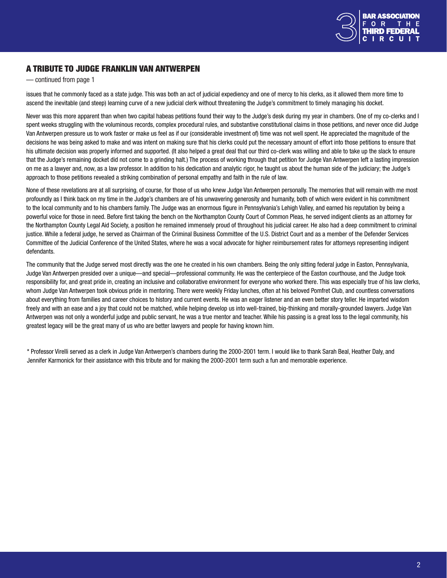

# <span id="page-1-0"></span>A TRIBUTE TO JUDGE FRANKLIN VAN ANTWERPEN

— continued from page 1

issues that he commonly faced as a state judge. This was both an act of judicial expediency and one of mercy to his clerks, as it allowed them more time to ascend the inevitable (and steep) learning curve of a new judicial clerk without threatening the Judge's commitment to timely managing his docket.

Never was this more apparent than when two capital habeas petitions found their way to the Judge's desk during my year in chambers. One of my co-clerks and I spent weeks struggling with the voluminous records, complex procedural rules, and substantive constitutional claims in those petitions, and never once did Judge Van Antwerpen pressure us to work faster or make us feel as if our (considerable investment of) time was not well spent. He appreciated the magnitude of the decisions he was being asked to make and was intent on making sure that his clerks could put the necessary amount of effort into those petitions to ensure that his ultimate decision was properly informed and supported. (It also helped a great deal that our third co-clerk was willing and able to take up the slack to ensure that the Judge's remaining docket did not come to a grinding halt.) The process of working through that petition for Judge Van Antwerpen left a lasting impression on me as a lawyer and, now, as a law professor. In addition to his dedication and analytic rigor, he taught us about the human side of the judiciary; the Judge's approach to those petitions revealed a striking combination of personal empathy and faith in the rule of law.

None of these revelations are at all surprising, of course, for those of us who knew Judge Van Antwerpen personally. The memories that will remain with me most profoundly as I think back on my time in the Judge's chambers are of his unwavering generosity and humanity, both of which were evident in his commitment to the local community and to his chambers family. The Judge was an enormous figure in Pennsylvania's Lehigh Valley, and earned his reputation by being a powerful voice for those in need. Before first taking the bench on the Northampton County Court of Common Pleas, he served indigent clients as an attorney for the Northampton County Legal Aid Society, a position he remained immensely proud of throughout his judicial career. He also had a deep commitment to criminal justice. While a federal judge, he served as Chairman of the Criminal Business Committee of the U.S. District Court and as a member of the Defender Services Committee of the Judicial Conference of the United States, where he was a vocal advocate for higher reimbursement rates for attorneys representing indigent defendants.

The community that the Judge served most directly was the one he created in his own chambers. Being the only sitting federal judge in Easton, Pennsylvania, Judge Van Antwerpen presided over a unique—and special—professional community. He was the centerpiece of the Easton courthouse, and the Judge took responsibility for, and great pride in, creating an inclusive and collaborative environment for everyone who worked there. This was especially true of his law clerks, whom Judge Van Antwerpen took obvious pride in mentoring. There were weekly Friday lunches, often at his beloved Pomfret Club, and countless conversations about everything from families and career choices to history and current events. He was an eager listener and an even better story teller. He imparted wisdom freely and with an ease and a joy that could not be matched, while helping develop us into well-trained, big-thinking and morally-grounded lawyers. Judge Van Antwerpen was not only a wonderful judge and public servant, he was a true mentor and teacher. While his passing is a great loss to the legal community, his greatest legacy will be the great many of us who are better lawyers and people for having known him.

\* Professor Virelli served as a clerk in Judge Van Antwerpen's chambers during the 2000-2001 term. I would like to thank Sarah Beal, Heather Daly, and Jennifer Karmonick for their assistance with this tribute and for making the 2000-2001 term such a fun and memorable experience.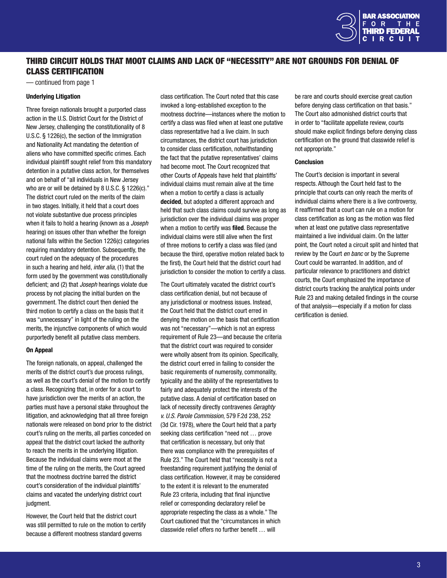

## <span id="page-2-0"></span>THIRD CIRCUIT HOLDS THAT MOOT CLAIMS AND LACK OF "NECESSITY" ARE NOT GROUNDS FOR DENIAL OF CLASS CERTIFICATION

— continued from page 1

#### Underlying Litigation

Three foreign nationals brought a purported class action in the U.S. District Court for the District of New Jersey, challenging the constitutionality of 8 U.S.C. § 1226(c), the section of the Immigration and Nationality Act mandating the detention of aliens who have committed specific crimes. Each individual plaintiff sought relief from this mandatory detention in a putative class action, for themselves and on behalf of "all individuals in New Jersey who are or will be detained by 8 U.S.C. § 1226(c)." The district court ruled on the merits of the claim in two stages. Initially, it held that a court does not violate substantive due process principles when it fails to hold a hearing (known as a *Joseph* hearing) on issues other than whether the foreign national falls within the Section 1226(c) categories requiring mandatory detention. Subsequently, the court ruled on the adequacy of the procedures in such a hearing and held, *inter alia*, (1) that the form used by the government was constitutionally deficient; and (2) that *Joseph* hearings violate due process by not placing the initial burden on the government. The district court then denied the third motion to certify a class on the basis that it was "unnecessary" in light of the ruling on the merits, the injunctive components of which would purportedly benefit all putative class members.

#### On Appeal

The foreign nationals, on appeal, challenged the merits of the district court's due process rulings, as well as the court's denial of the motion to certify a class. Recognizing that, in order for a court to have jurisdiction over the merits of an action, the parties must have a personal stake throughout the litigation, and acknowledging that all three foreign nationals were released on bond prior to the district court's ruling on the merits, all parties conceded on appeal that the district court lacked the authority to reach the merits in the underlying litigation. Because the individual claims were moot at the time of the ruling on the merits, the Court agreed that the mootness doctrine barred the district court's consideration of the individual plaintiffs' claims and vacated the underlying district court judgment.

However, the Court held that the district court was still permitted to rule on the motion to certify because a different mootness standard governs

class certification. The Court noted that this case invoked a long-established exception to the mootness doctrine—instances where the motion to certify a class was filed when at least one putative class representative had a live claim. In such circumstances, the district court has jurisdiction to consider class certification, notwithstanding the fact that the putative representatives' claims had become moot. The Court recognized that other Courts of Appeals have held that plaintiffs' individual claims must remain alive at the time when a motion to certify a class is actually decided, but adopted a different approach and held that such class claims could survive as long as jurisdiction over the individual claims was proper when a motion to certify was filed. Because the individual claims were still alive when the first of three motions to certify a class was filed (and because the third, operative motion related back to the first), the Court held that the district court had jurisdiction to consider the motion to certify a class.

The Court ultimately vacated the district court's class certification denial, but not because of any jurisdictional or mootness issues. Instead, the Court held that the district court erred in denying the motion on the basis that certification was not "necessary"—which is not an express requirement of Rule 23—and because the criteria that the district court was required to consider were wholly absent from its opinion. Specifically, the district court erred in failing to consider the basic requirements of numerosity, commonality, typicality and the ability of the representatives to fairly and adequately protect the interests of the putative class. A denial of certification based on lack of necessity directly contravenes *Geraghty v. U.S. Parole Commission*, 579 F.2d 238, 252 (3d Cir. 1978), where the Court held that a party seeking class certification "need not … prove that certification is necessary, but only that there was compliance with the prerequisites of Rule 23." The Court held that "necessity is not a freestanding requirement justifying the denial of class certification. However, it may be considered to the extent it is relevant to the enumerated Rule 23 criteria, including that final injunctive relief or corresponding declaratory relief be appropriate respecting the class as a whole." The Court cautioned that the "circumstances in which classwide relief offers no further benefit … will

be rare and courts should exercise great caution before denying class certification on that basis." The Court also admonished district courts that in order to "facilitate appellate review, courts should make explicit findings before denying class certification on the ground that classwide relief is not appropriate."

#### Conclusion

The Court's decision is important in several respects. Although the Court held fast to the principle that courts can only reach the merits of individual claims where there is a live controversy, it reaffirmed that a court can rule on a motion for class certification as long as the motion was filed when at least one putative class representative maintained a live individual claim. On the latter point, the Court noted a circuit split and hinted that review by the Court *en banc* or by the Supreme Court could be warranted. In addition, and of particular relevance to practitioners and district courts, the Court emphasized the importance of district courts tracking the analytical points under Rule 23 and making detailed findings in the course of that analysis—especially if a motion for class certification is denied.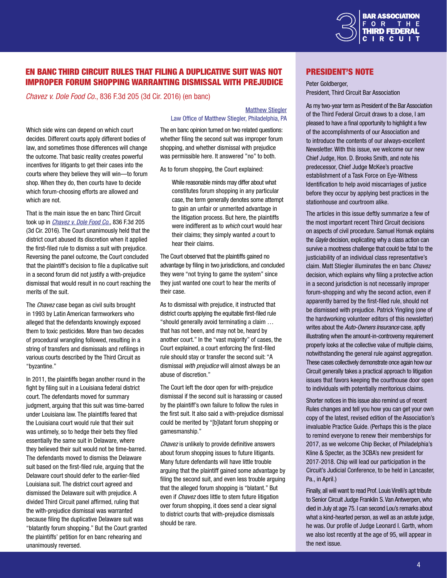

# EN BANC THIRD CIRCUIT RULES THAT FILING A DUPLICATIVE SUIT WAS NOT IMPROPER FORUM SHOPPING WARRANTING DISMISSAL WITH PREJUDICE

*Chavez v. Dole Food Co.*, 836 F.3d 205 (3d Cir. 2016) (en banc)

Which side wins can depend on which court decides. Different courts apply different bodies of law, and sometimes those differences will change the outcome. That basic reality creates powerful incentives for litigants to get their cases into the courts where they believe they will win—to forum shop. When they do, then courts have to decide which forum-choosing efforts are allowed and which are not.

That is the main issue the en banc Third Circuit took up in *[Chavez v. Dole Food Co.](http://www2.ca3.uscourts.gov/opinarch/134144p1.pdf)*, 836 F.3d 205 (3d Cir. 2016). The Court unanimously held that the district court abused its discretion when it applied the first-filed rule to dismiss a suit with prejudice. Reversing the panel outcome, the Court concluded that the plaintiff's decision to file a duplicative suit in a second forum did not justify a with-prejudice dismissal that would result in no court reaching the merits of the suit.

The *Chavez* case began as civil suits brought in 1993 by Latin American farmworkers who alleged that the defendants knowingly exposed them to toxic pesticides. More than two decades of procedural wrangling followed, resulting in a string of transfers and dismissals and refilings in various courts described by the Third Circuit as "byzantine."

In 2011, the plaintiffs began another round in the fight by filing suit in a Louisiana federal district court. The defendants moved for summary judgment, arguing that this suit was time-barred under Louisiana law. The plaintiffs feared that the Louisiana court would rule that their suit was untimely, so to hedge their bets they filed essentially the same suit in Delaware, where they believed their suit would not be time-barred. The defendants moved to dismiss the Delaware suit based on the first-filed rule, arguing that the Delaware court should defer to the earlier-filed Louisiana suit. The district court agreed and dismissed the Delaware suit with prejudice. A divided Third Circuit panel affirmed, ruling that the with-prejudice dismissal was warranted because filing the duplicative Delaware suit was "blatantly forum shopping." But the Court granted the plaintiffs' petition for en banc rehearing and unanimously reversed.

[Matthew Stiegler](http://www.stieglerlaw.com/attorney-profile.html) Law Office of Matthew Stiegler, Philadelphia, PA

The en banc opinion turned on two related questions: whether filing the second suit was improper forum shopping, and whether dismissal with prejudice was permissible here. It answered "no" to both.

As to forum shopping, the Court explained:

While reasonable minds may differ about what constitutes forum shopping in any particular case, the term generally denotes some attempt to gain an unfair or unmerited advantage in the litigation process. But here, the plaintiffs were indifferent as to *which* court would hear their claims; they simply wanted *a* court to hear their claims.

The Court observed that the plaintiffs gained no advantage by filing in two jurisdictions, and concluded they were "not trying to game the system" since they just wanted one court to hear the merits of their case.

As to dismissal with prejudice, it instructed that district courts applying the equitable first-filed rule "should generally avoid terminating a claim … that has not been, and may not be, heard by another court." In the "vast majority" of cases, the Court explained, a court enforcing the first-filed rule should stay or transfer the second suit: "A dismissal *with prejudice* will almost always be an abuse of discretion."

The Court left the door open for with-prejudice dismissal if the second suit is harassing or caused by the plaintiff's own failure to follow the rules in the first suit. It also said a with-prejudice dismissal could be merited by "[b]latant forum shopping or gamesmanship."

*Chavez* is unlikely to provide definitive answers about forum shopping issues to future litigants. Many future defendants will have little trouble arguing that the plaintiff gained some advantage by filing the second suit, and even less trouble arguing that the alleged forum shopping is "blatant." But even if *Chavez* does little to stem future litigation over forum shopping, it does send a clear signal to district courts that with-prejudice dismissals should be rare.

## President's Note

Peter Goldberger, President, Third Circuit Bar Association

As my two-year term as President of the Bar Association of the Third Federal Circuit draws to a close, I am pleased to have a final opportunity to highlight a few of the accomplishments of our Association and to introduce the contents of our always-excellent Newsletter. With this issue, we welcome our new Chief Judge, Hon. D. Brooks Smith, and note his predecessor, Chief Judge McKee's proactive establishment of a Task Force on Eye-Witness Identification to help avoid miscarriages of justice before they occur by applying best practices in the stationhouse and courtroom alike.

The articles in this issue deftly summarize a few of the most important recent Third Circuit decisions on aspects of civil procedure. Samuel Hornak explains the *Gayle* decision, explicating why a class action can survive a mootness challenge that could be fatal to the justiciability of an individual class representative's claim. Matt Stiegler illuminates the en banc *Chavez* decision, which explains why filing a protective action in a second jurisdiction is not necessarily improper forum-shopping and why the second action, even if apparently barred by the first-filed rule, should not be dismissed with prejudice. Patrick Yingling (one of the hardworking volunteer editors of this newsletter) writes about the *Auto-Owners Insurance* case, aptly illustrating when the amount-in-controversy requirement properly looks at the collective value of multiple claims, notwithstanding the general rule against aggregation. These cases collectively demonstrate once again how our Circuit generally takes a practical approach to litigation issues that favors keeping the courthouse door open to individuals with potentially meritorious claims.

Shorter notices in this issue also remind us of recent Rules changes and tell you how you can get your own copy of the latest, revised edition of the Association's invaluable Practice Guide. (Perhaps this is the place to remind everyone to renew their memberships for 2017, as we welcome Chip Becker, of Philadelphia's Kline & Specter, as the 3CBA's new president for 2017-2018. Chip will lead our participation in the Circuit's Judicial Conference, to be held in Lancaster, Pa., in April.)

Finally, all will want to read Prof. Louis Virelli's apt tribute to Senior Circuit Judge Franklin S. Van Antwerpen, who died in July at age 75. I can second Lou's remarks about what a kind-hearted person, as well as an astute judge, he was. Our profile of Judge Leonard I. Garth, whom we also lost recently at the age of 95, will appear in the next issue.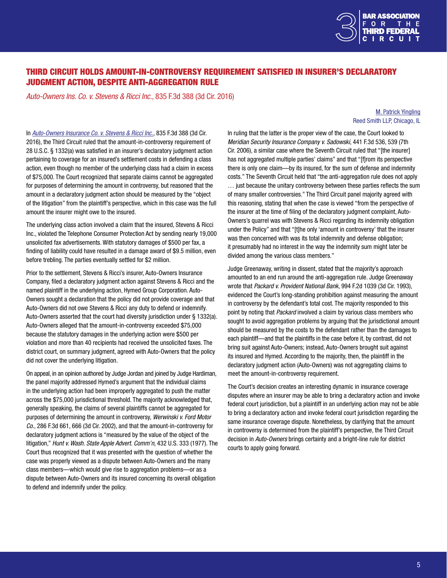

# THIRD CIRCUIT HOLDS AMOUNT-IN-CONTROVERSY REQUIREMENT SATISFIED IN INSURER'S DECLARATORY JUDGMENT ACTION, DESPITE ANTI-AGGREGATION RULE

*Auto-Owners Ins. Co. v. Stevens & Ricci Inc.*, 835 F.3d 388 (3d Cir. 2016)

#### [M. Patrick Yingling](https://www.reedsmith.com/Patrick_Yingling/) Reed Smith LLP, Chicago, IL

In *[Auto-Owners Insurance Co. v. Stevens & Ricci Inc.](http://www2.ca3.uscourts.gov/opinarch/152080p.pdf)*, 835 F.3d 388 (3d Cir. 2016), the Third Circuit ruled that the amount-in-controversy requirement of 28 U.S.C. § 1332(a) was satisfied in an insurer's declaratory judgment action pertaining to coverage for an insured's settlement costs in defending a class action, even though no member of the underlying class had a claim in excess of \$75,000. The Court recognized that separate claims cannot be aggregated for purposes of determining the amount in controversy, but reasoned that the amount in a declaratory judgment action should be measured by the "object of the litigation" from the plaintiff's perspective, which in this case was the full amount the insurer might owe to the insured.

The underlying class action involved a claim that the insured, Stevens & Ricci Inc., violated the Telephone Consumer Protection Act by sending nearly 19,000 unsolicited fax advertisements. With statutory damages of \$500 per fax, a finding of liability could have resulted in a damage award of \$9.5 million, even before trebling. The parties eventually settled for \$2 million.

Prior to the settlement, Stevens & Ricci's insurer, Auto-Owners Insurance Company, filed a declaratory judgment action against Stevens & Ricci and the named plaintiff in the underlying action, Hymed Group Corporation. Auto-Owners sought a declaration that the policy did not provide coverage and that Auto-Owners did not owe Stevens & Ricci any duty to defend or indemnify. Auto-Owners asserted that the court had diversity jurisdiction under § 1332(a). Auto-Owners alleged that the amount-in-controversy exceeded \$75,000 because the statutory damages in the underlying action were \$500 per violation and more than 40 recipients had received the unsolicited faxes. The district court, on summary judgment, agreed with Auto-Owners that the policy did not cover the underlying litigation.

On appeal, in an opinion authored by Judge Jordan and joined by Judge Hardiman, the panel majority addressed Hymed's argument that the individual claims in the underlying action had been improperly aggregated to push the matter across the \$75,000 jurisdictional threshold. The majority acknowledged that, generally speaking, the claims of several plaintiffs cannot be aggregated for purposes of determining the amount in controversy, *Werwinski v. Ford Motor Co.*, 286 F.3d 661, 666 (3d Cir. 2002), and that the amount-in-controversy for declaratory judgment actions is "measured by the value of the object of the litigation," *Hunt v. Wash. State Apple Advert. Comm'n*, 432 U.S. 333 (1977). The Court thus recognized that it was presented with the question of whether the case was properly viewed as a dispute between Auto-Owners and the many class members—which would give rise to aggregation problems—or as a dispute between Auto-Owners and its insured concerning its overall obligation to defend and indemnify under the policy.

In ruling that the latter is the proper view of the case, the Court looked to *Meridian Security Insurance Company v. Sadowski*, 441 F.3d 536, 539 (7th Cir. 2006), a similar case where the Seventh Circuit ruled that "Ithe insurer] has not aggregated multiple parties' claims" and that "[f]rom its perspective there is only one claim—by its insured, for the sum of defense and indemnity costs." The Seventh Circuit held that "the anti-aggregation rule does not apply … just because the unitary controversy between these parties reflects the sum of many smaller controversies." The Third Circuit panel majority agreed with this reasoning, stating that when the case is viewed "from the perspective of the insurer at the time of filing of the declaratory judgment complaint, Auto-Owners's quarrel was with Stevens & Ricci regarding its indemnity obligation under the Policy" and that "[t]he only 'amount in controversy' that the insurer

was then concerned with was its total indemnity and defense obligation; it presumably had no interest in the way the indemnity sum might later be divided among the various class members."

Judge Greenaway, writing in dissent, stated that the majority's approach amounted to an end run around the anti-aggregation rule. Judge Greenaway wrote that *Packard v. Provident National Bank*, 994 F.2d 1039 (3d Cir. 1993), evidenced the Court's long-standing prohibition against measuring the amount in controversy by the defendant's total cost. The majority responded to this point by noting that *Packard* involved a claim by various class members who sought to avoid aggregation problems by arguing that the jurisdictional amount should be measured by the costs to the defendant rather than the damages to each plaintiff—and that the plaintiffs in the case before it, by contrast, did not bring suit against Auto-Owners; instead, Auto-Owners brought suit against its insured and Hymed. According to the majority, then, the plaintiff in the declaratory judgment action (Auto-Owners) was not aggregating claims to meet the amount-in-controversy requirement.

The Court's decision creates an interesting dynamic in insurance coverage disputes where an insurer may be able to bring a declaratory action and invoke federal court jurisdiction, but a plaintiff in an underlying action may not be able to bring a declaratory action and invoke federal court jurisdiction regarding the same insurance coverage dispute. Nonetheless, by clarifying that the amount in controversy is determined from the plaintiff's perspective, the Third Circuit decision in *Auto-Owners* brings certainty and a bright-line rule for district courts to apply going forward.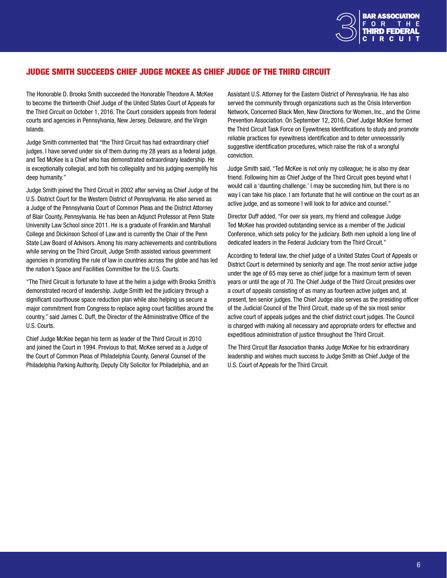

# JUDGE SMITH SUCCEEDS CHIEF JUDGE McKEE AS CHIEF JUDGE OF THE THIRD CIRCUIT

The Honorable D. Brooks Smith succeeded the Honorable Theodore A. McKee to become the thirteenth Chief Judge of the United States Court of Appeals for the Third Circuit on October 1, 2016. The Court considers appeals from federal courts and agencies in Pennsylvania, New Jersey, Delaware, and the Virgin Islands.

Judge Smith commented that "the Third Circuit has had extraordinary chief judges. I have served under six of them during my 28 years as a federal judge, and Ted McKee is a Chief who has demonstrated extraordinary leadership. He is exceptionally collegial, and both his collegiality and his judging exemplify his deep humanity."

Judge Smith joined the Third Circuit in 2002 after serving as Chief Judge of the U.S. District Court for the Western District of Pennsylvania. He also served as a Judge of the Pennsylvania Court of Common Pleas and the District Attorney of Blair County, Pennsylvania. He has been an Adjunct Professor at Penn State University Law School since 2011. He is a graduate of Franklin and Marshall College and Dickinson School of Law and is currently the Chair of the Penn State Law Board of Advisors. Among his many achievements and contributions while serving on the Third Circuit, Judge Smith assisted various government agencies in promoting the rule of law in countries across the globe and has led the nation's Space and Facilities Committee for the U.S. Courts.

"The Third Circuit is fortunate to have at the helm a judge with Brooks Smith's demonstrated record of leadership. Judge Smith led the judiciary through a significant courthouse space reduction plan while also helping us secure a major commitment from Congress to replace aging court facilities around the country," said James C. Duff, the Director of the Administrative Office of the U.S. Courts.

Chief Judge McKee began his term as leader of the Third Circuit in 2010 and joined the Court in 1994. Previous to that, McKee served as a Judge of the Court of Common Pleas of Philadelphia County, General Counsel of the Philadelphia Parking Authority, Deputy City Solicitor for Philadelphia, and an Assistant U.S. Attorney for the Eastern District of Pennsylvania. He has also served the community through organizations such as the Crisis Intervention Network, Concerned Black Men, New Directions for Women, Inc., and the Crime Prevention Association. On September 12, 2016, Chief Judge McKee formed the Third Circuit Task Force on Eyewitness Identifications to study and promote reliable practices for eyewitness identification and to deter unnecessarily suggestive identification procedures, which raise the risk of a wrongful conviction.

Judge Smith said, "Ted McKee is not only my colleague; he is also my dear friend. Following him as Chief Judge of the Third Circuit goes beyond what I would call a 'daunting challenge.' I may be succeeding him, but there is no way I can take his place. I am fortunate that he will continue on the court as an active judge, and as someone I will look to for advice and counsel."

Director Duff added, "For over six years, my friend and colleague Judge Ted McKee has provided outstanding service as a member of the Judicial Conference, which sets policy for the judiciary. Both men uphold a long line of dedicated leaders in the Federal Judiciary from the Third Circuit."

According to federal law, the chief judge of a United States Court of Appeals or District Court is determined by seniority and age. The most senior active judge under the age of 65 may serve as chief judge for a maximum term of seven years or until the age of 70. The Chief Judge of the Third Circuit presides over a court of appeals consisting of as many as fourteen active judges and, at present, ten senior judges. The Chief Judge also serves as the presiding officer of the Judicial Council of the Third Circuit, made up of the six most senior active court of appeals judges and the chief district court judges. The Council is charged with making all necessary and appropriate orders for effective and expeditious administration of justice throughout the Third Circuit.

The Third Circuit Bar Association thanks Judge McKee for his extraordinary leadership and wishes much success to Judge Smith as Chief Judge of the U.S. Court of Appeals for the Third Circuit.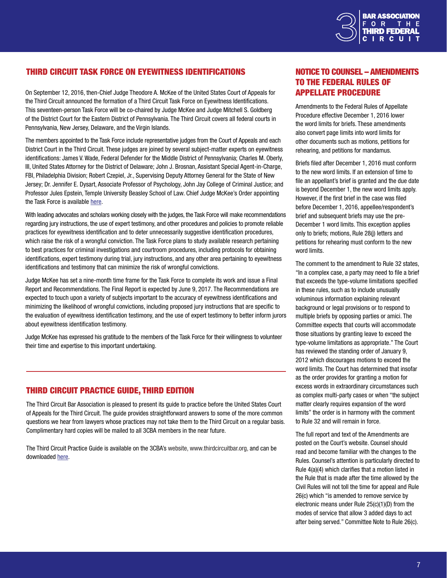

# THIRD CIRCUIT TASK FORCE ON EYEWITNESS IDENTIFICATIONS

On September 12, 2016, then-Chief Judge Theodore A. McKee of the United States Court of Appeals for the Third Circuit announced the formation of a Third Circuit Task Force on Eyewitness Identifications. This seventeen-person Task Force will be co-chaired by Judge McKee and Judge Mitchell S. Goldberg of the District Court for the Eastern District of Pennsylvania. The Third Circuit covers all federal courts in Pennsylvania, New Jersey, Delaware, and the Virgin Islands.

The members appointed to the Task Force include representative judges from the Court of Appeals and each District Court in the Third Circuit. These judges are joined by several subject-matter experts on eyewitness identifications: James V. Wade, Federal Defender for the Middle District of Pennsylvania; Charles M. Oberly, III, United States Attorney for the District of Delaware; John J. Brosnan, Assistant Special Agent-in-Charge, FBI, Philadelphia Division; Robert Czepiel, Jr., Supervising Deputy Attorney General for the State of New Jersey; Dr. Jennifer E. Dysart, Associate Professor of Psychology, John Jay College of Criminal Justice; and Professor Jules Epstein, Temple University Beasley School of Law. Chief Judge McKee's Order appointing the Task Force is available [here.](http://www.ca3.uscourts.gov/sites/ca3/files/ThirdCircuitTaskForceEyewitnessIdOrder.pdf)

With leading advocates and scholars working closely with the judges, the Task Force will make recommendations regarding jury instructions, the use of expert testimony, and other procedures and policies to promote reliable practices for eyewitness identification and to deter unnecessarily suggestive identification procedures, which raise the risk of a wrongful conviction. The Task Force plans to study available research pertaining to best practices for criminal investigations and courtroom procedures, including protocols for obtaining identifications, expert testimony during trial, jury instructions, and any other area pertaining to eyewitness identifications and testimony that can minimize the risk of wrongful convictions.

Judge McKee has set a nine-month time frame for the Task Force to complete its work and issue a Final Report and Recommendations. The Final Report is expected by June 9, 2017. The Recommendations are expected to touch upon a variety of subjects important to the accuracy of eyewitness identifications and minimizing the likelihood of wrongful convictions, including proposed jury instructions that are specific to the evaluation of eyewitness identification testimony, and the use of expert testimony to better inform jurors about eyewitness identification testimony.

Judge McKee has expressed his gratitude to the members of the Task Force for their willingness to volunteer their time and expertise to this important undertaking.

## THIRD CIRCUIT PRACTICE GUIDE, THIRD EDITION

The Third Circuit Bar Association is pleased to present its guide to practice before the United States Court of Appeals for the Third Circuit. The guide provides straightforward answers to some of the more common questions we hear from lawyers whose practices may not take them to the Third Circuit on a regular basis. Complimentary hard copies will be mailed to all 3CBA members in the near future.

The Third Circuit Practice Guide is available on the 3CBA's website, www.thirdcircuitbar.org, and can be downloaded [here](http://thirdcircuitbar.org/documents/3d Circuit Practice Guide rev 2016.pdf).

# NOTICE TO COUNSEL – AMENDMENTS TO THE FEDERAL RULES OF APPELLATE PROCEDURE

Amendments to the Federal Rules of Appellate Procedure effective December 1, 2016 lower the word limits for briefs. These amendments also convert page limits into word limits for other documents such as motions, petitions for rehearing, and petitions for mandamus.

Briefs filed after December 1, 2016 must conform to the new word limits. If an extension of time to file an appellant's brief is granted and the due date is beyond December 1, the new word limits apply. However, if the first brief in the case was filed before December 1, 2016, appellee/respondent's brief and subsequent briefs may use the pre-December 1 word limits. This exception applies only to briefs; motions, Rule 28(j) letters and petitions for rehearing must conform to the new word limits.

The comment to the amendment to Rule 32 states, "In a complex case, a party may need to file a brief that exceeds the type-volume limitations specified in these rules, such as to include unusually voluminous information explaining relevant background or legal provisions or to respond to multiple briefs by opposing parties or amici. The Committee expects that courts will accommodate those situations by granting leave to exceed the type-volume limitations as appropriate." The Court has reviewed the standing order of January 9, 2012 which discourages motions to exceed the word limits. The Court has determined that insofar as the order provides for granting a motion for excess words in extraordinary circumstances such as complex multi-party cases or when "the subject matter clearly requires expansion of the word limits" the order is in harmony with the comment to Rule 32 and will remain in force.

The full report and text of the Amendments are posted on the Court's website. Counsel should read and become familiar with the changes to the Rules. Counsel's attention is particularly directed to Rule 4(a)(4) which clarifies that a motion listed in the Rule that is made after the time allowed by the Civil Rules will not toll the time for appeal and Rule 26(c) which "is amended to remove service by electronic means under Rule 25(c)(1)(D) from the modes of service that allow 3 added days to act after being served." Committee Note to Rule 26(c).